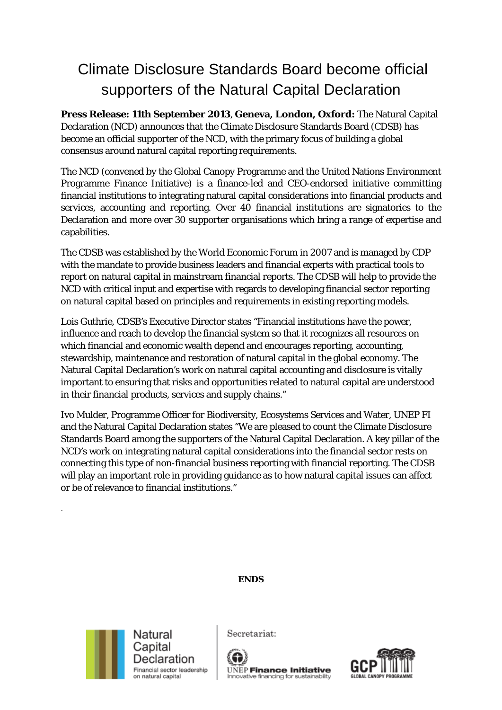# Climate Disclosure Standards Board become official supporters of the Natural Capital Declaration

**Press Release: 11th September 2013**, **Geneva, London, Oxford:** The Natural Capital Declaration (NCD) announces that the Climate Disclosure Standards Board (CDSB) has become an official supporter of the NCD, with the primary focus of building a global consensus around natural capital reporting requirements.

The NCD (convened by the Global Canopy Programme and the United Nations Environment Programme Finance Initiative) is a finance-led and CEO-endorsed initiative committing financial institutions to integrating natural capital considerations into financial products and services, accounting and reporting. Over 40 financial institutions are signatories to the Declaration and more over 30 supporter organisations which bring a range of expertise and capabilities.

The CDSB was established by the World Economic Forum in 2007 and is managed by CDP with the mandate to provide business leaders and financial experts with practical tools to report on natural capital in mainstream financial reports. The CDSB will help to provide the NCD with critical input and expertise with regards to developing financial sector reporting on natural capital based on principles and requirements in existing reporting models.

Lois Guthrie, CDSB's Executive Director states "Financial institutions have the power, influence and reach to develop the financial system so that it recognizes all resources on which financial and economic wealth depend and encourages reporting, accounting, stewardship, maintenance and restoration of natural capital in the global economy. The Natural Capital Declaration's work on natural capital accounting and disclosure is vitally important to ensuring that risks and opportunities related to natural capital are understood in their financial products, services and supply chains."

Ivo Mulder, Programme Officer for Biodiversity, Ecosystems Services and Water, UNEP FI and the Natural Capital Declaration states "We are pleased to count the Climate Disclosure Standards Board among the supporters of the Natural Capital Declaration. A key pillar of the NCD's work on integrating natural capital considerations into the financial sector rests on connecting this type of non-financial business reporting with financial reporting. The CDSB will play an important role in providing guidance as to how natural capital issues can affect or be of relevance to financial institutions."

## **ENDS**



.

Secretariat:



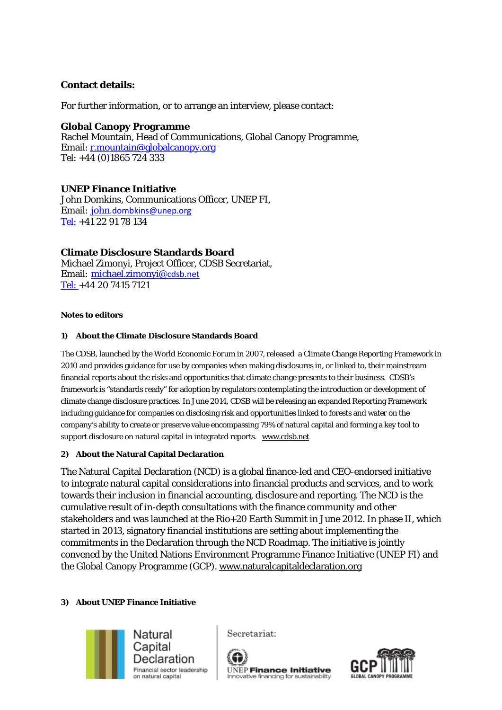# **Contact details:**

For further information, or to arrange an interview, please contact:

## **Global Canopy Programme**

Rachel Mountain, Head of Communications, Global Canopy Programme, Email: [r.mountain@globalcanopy.org](mailto:r.mountain@globalcanopy.org) Tel: +44 (0)1865 724 333

# **UNEP Finance Initiative**

John Domkins, Communications Officer, UNEP FI, Email: john[.dombkins@unep.org](mailto:john.dombkins@unep.org) Tel: +41 22 91 78 134

## **Climate Disclosure Standards Board**

Michael Zimonyi, Project Officer, CDSB Secretariat, Email: michael.zimonyi@cdsb.net Tel: +44 20 7415 7121

#### **Notes to editors**

#### **1) About the Climate Disclosure Standards Board**

The CDSB, launched by the World Economic Forum in 2007, released a Climate Change Reporting Framework in 2010 and provides guidance for use by companies when making disclosures in, or linked to, their mainstream financial reports about the risks and opportunities that climate change presents to their business. CDSB's framework is "standards ready" for adoption by regulators contemplating the introduction or development of climate change disclosure practices. In June 2014, CDSB will be releasing an expanded Reporting Framework including guidance for companies on disclosing risk and opportunities linked to forests and water on the company's ability to create or preserve value encompassing 79% of natural capital and forming a key tool to support disclosure on natural capital in integrated reports. [www.cdsb.net](http://www.cdsb.net/)

#### **2) About the Natural Capital Declaration**

The Natural Capital Declaration (NCD) is a global finance-led and CEO-endorsed initiative to integrate natural capital considerations into financial products and services, and to work towards their inclusion in financial accounting, disclosure and reporting. The NCD is the cumulative result of in-depth consultations with the finance community and other stakeholders and was launched at the Rio+20 Earth Summit in June 2012. In phase II, which started in 2013, signatory financial institutions are setting about implementing the commitments in the Declaration through the NCD Roadmap. The initiative is jointly convened by the United Nations Environment Programme Finance Initiative (UNEP FI) and the Global Canopy Programme (GCP). [www.naturalcapitaldeclaration.org](http://www.naturalcapitaldeclaration.org/)

#### **3) About UNEP Finance Initiative**



Secretariat: